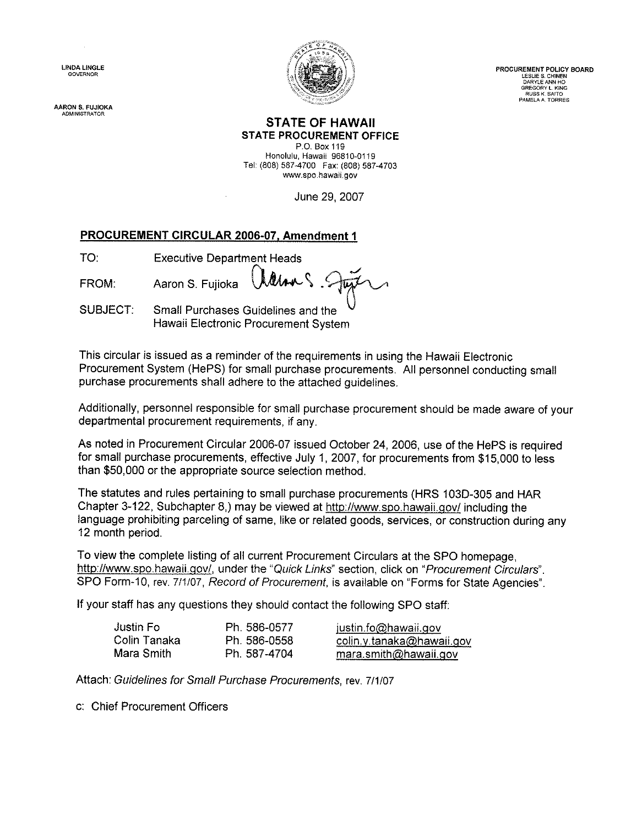**LINDA LINGLE** 

AARON S. FUJIOKA **ADMINISTRATOR** 



PROCUREMENT POLICY BOARD LESLIE S. CHINEN DARYLE ANN HO GREGORY L. KING<br>RUSS K. SAITO<br>PAMELA A. TORRES

#### **STATE OF HAWAII STATE PROCUREMENT OFFICE**

P.O. Box 119 Honolulu, Hawaii 96810-0119 Tel: (808) 587-4700 Fax: (808) 587-4703 www.spo.hawaii.gov

June 29, 2007

### PROCUREMENT CIRCULAR 2006-07, Amendment 1

| <b>Executive Department Heads</b> |
|-----------------------------------|
|                                   |

FROM: Aaron S. Fujioka

**SUBJECT:** Small Purchases Guidelines and the Hawaii Electronic Procurement System

This circular is issued as a reminder of the requirements in using the Hawaii Electronic Procurement System (HePS) for small purchase procurements. All personnel conducting small purchase procurements shall adhere to the attached quidelines.

Additionally, personnel responsible for small purchase procurement should be made aware of your departmental procurement requirements, if any.

As noted in Procurement Circular 2006-07 issued October 24, 2006, use of the HePS is required for small purchase procurements, effective July 1, 2007, for procurements from \$15,000 to less than \$50,000 or the appropriate source selection method.

The statutes and rules pertaining to small purchase procurements (HRS 103D-305 and HAR Chapter 3-122, Subchapter 8,) may be viewed at http://www.spo.hawaii.gov/ including the language prohibiting parceling of same, like or related goods, services, or construction during any 12 month period.

To view the complete listing of all current Procurement Circulars at the SPO homepage. http://www.spo.hawaii.gov/, under the "Quick Links" section, click on "Procurement Circulars". SPO Form-10, rev. 7/1/07, Record of Procurement, is available on "Forms for State Agencies".

If your staff has any questions they should contact the following SPO staff:

| Justin Fol   | Ph. 586-0577 | justin.fo@hawaii.gov      |
|--------------|--------------|---------------------------|
| Colin Tanaka | Ph. 586-0558 | colin.y.tanaka@hawaii.gov |
| Mara Smith   | Ph. 587-4704 | mara.smith@hawaii.gov     |

Attach: Guidelines for Small Purchase Procurements, rev. 7/1/07

c: Chief Procurement Officers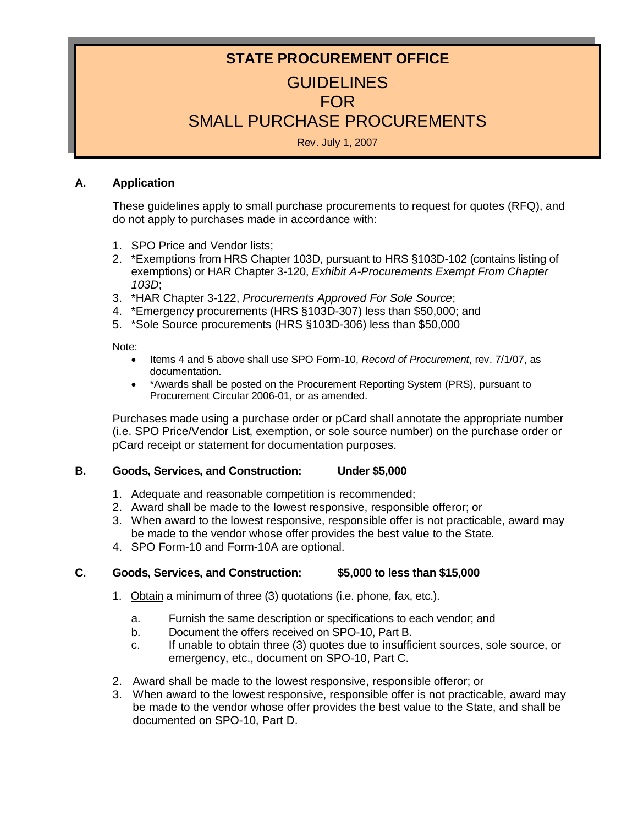# **STATE PROCUREMENT OFFICE GUIDELINES** FOR SMALL PURCHASE PROCUREMENTS

Rev. July 1, 2007

### **A. Application**

These guidelines apply to small purchase procurements to request for quotes (RFQ), and do not apply to purchases made in accordance with:

- 1. SPO Price and Vendor lists;
- 2. \*Exemptions from HRS Chapter 103D, pursuant to HRS §103D-102 (contains listing of exemptions) or HAR Chapter 3-120, *Exhibit A-Procurements Exempt From Chapter 103D*;
- 3. \*HAR Chapter 3-122, *Procurements Approved For Sole Source*;
- 4. \*Emergency procurements (HRS §103D-307) less than \$50,000; and
- 5. \*Sole Source procurements (HRS §103D-306) less than \$50,000

Note:

- Items 4 and 5 above shall use SPO Form-10, *Record of Procurement*, rev. 7/1/07, as documentation.
- \*Awards shall be posted on the Procurement Reporting System (PRS), pursuant to Procurement Circular 2006-01, or as amended.

Purchases made using a purchase order or pCard shall annotate the appropriate number (i.e. SPO Price/Vendor List, exemption, or sole source number) on the purchase order or pCard receipt or statement for documentation purposes.

### **B. Goods, Services, and Construction: Under \$5,000**

- 1. Adequate and reasonable competition is recommended;
- 2. Award shall be made to the lowest responsive, responsible offeror; or
- 3. When award to the lowest responsive, responsible offer is not practicable, award may be made to the vendor whose offer provides the best value to the State.
- 4. SPO Form-10 and Form-10A are optional.

### **C. Goods, Services, and Construction: \$5,000 to less than \$15,000**

- 1. Obtain a minimum of three (3) quotations (i.e. phone, fax, etc.).
	- a. Furnish the same description or specifications to each vendor; and
	- b. Document the offers received on SPO-10, Part B.
	- c. If unable to obtain three (3) quotes due to insufficient sources, sole source, or emergency, etc., document on SPO-10, Part C.
- 2. Award shall be made to the lowest responsive, responsible offeror; or
- 3. When award to the lowest responsive, responsible offer is not practicable, award may be made to the vendor whose offer provides the best value to the State, and shall be documented on SPO-10, Part D.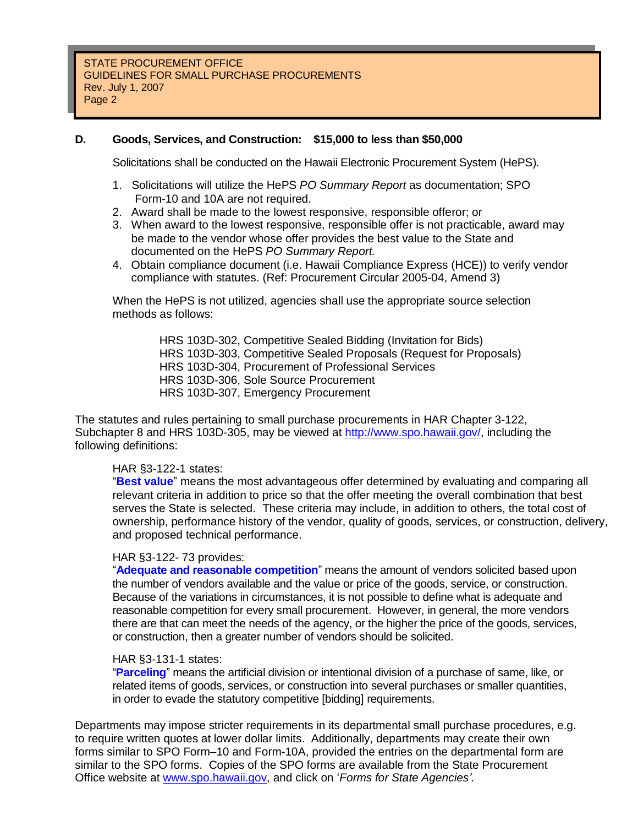### **D. Goods, Services, and Construction: \$15,000 to less than \$50,000**

Solicitations shall be conducted on the Hawaii Electronic Procurement System (HePS).

- 1. Solicitations will utilize the HePS *PO Summary Report* as documentation; SPO Form-10 and 10A are not required.
- 2. Award shall be made to the lowest responsive, responsible offeror; or
- 3. When award to the lowest responsive, responsible offer is not practicable, award may be made to the vendor whose offer provides the best value to the State and documented on the HePS *PO Summary Report.*
- 4. Obtain compliance document (i.e. Hawaii Compliance Express (HCE)) to verify vendor compliance with statutes. (Ref: Procurement Circular 2005-04, Amend 3)

When the HePS is not utilized, agencies shall use the appropriate source selection methods as follows:

> HRS 103D-302, Competitive Sealed Bidding (Invitation for Bids) HRS 103D-303, Competitive Sealed Proposals (Request for Proposals) HRS 103D-304, Procurement of Professional Services HRS 103D-306, Sole Source Procurement HRS 103D-307, Emergency Procurement

The statutes and rules pertaining to small purchase procurements in HAR Chapter 3-122, Subchapter 8 and HRS 103D-305, may be viewed at http://www.spo.hawaii.gov/, including the following definitions:

#### HAR §3-122-1 states:

"**Best value**" means the most advantageous offer determined by evaluating and comparing all relevant criteria in addition to price so that the offer meeting the overall combination that best serves the State is selected. These criteria may include, in addition to others, the total cost of ownership, performance history of the vendor, quality of goods, services, or construction, delivery, and proposed technical performance.

#### HAR §3-122- 73 provides:

"**Adequate and reasonable competition**" means the amount of vendors solicited based upon the number of vendors available and the value or price of the goods, service, or construction. Because of the variations in circumstances, it is not possible to define what is adequate and reasonable competition for every small procurement. However, in general, the more vendors there are that can meet the needs of the agency, or the higher the price of the goods, services, or construction, then a greater number of vendors should be solicited.

#### HAR §3-131-1 states:

"**Parceling**" means the artificial division or intentional division of a purchase of same, like, or related items of goods, services, or construction into several purchases or smaller quantities, in order to evade the statutory competitive [bidding] requirements.

Departments may impose stricter requirements in its departmental small purchase procedures, e.g. to require written quotes at lower dollar limits. Additionally, departments may create their own forms similar to SPO Form–10 and Form-10A, provided the entries on the departmental form are similar to the SPO forms. Copies of the SPO forms are available from the State Procurement Office website at www.spo.hawaii.gov, and click on '*Forms for State Agencies'*.